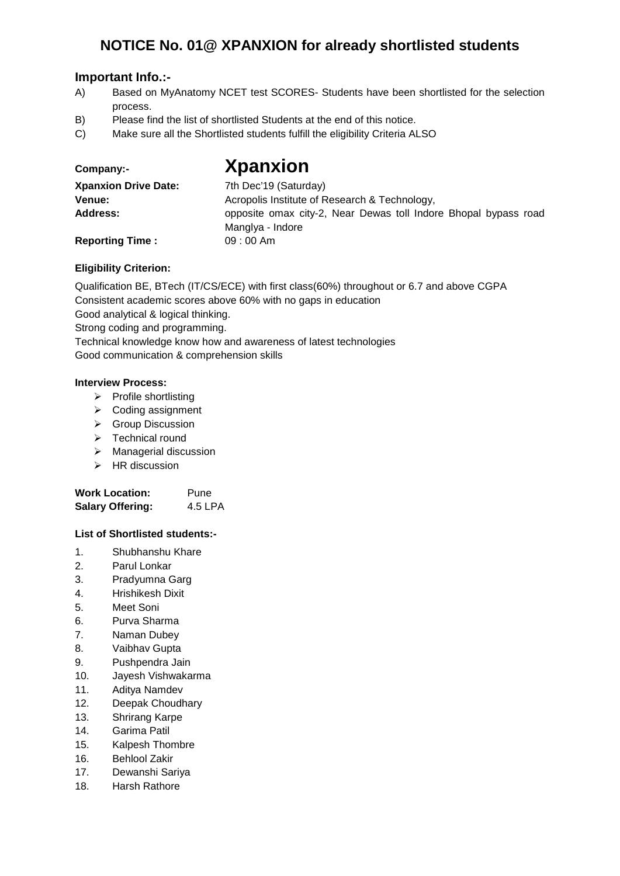### **NOTICE No. 01@ XPANXION for already shortlisted students**

### **Important Info.:-**

- A) Based on MyAnatomy NCET test SCORES- Students have been shortlisted for the selection process.
- B) Please find the list of shortlisted Students at the end of this notice.
- C) Make sure all the Shortlisted students fulfill the eligibility Criteria ALSO

| Company:-             |  |  |
|-----------------------|--|--|
| <b>Xnanxion Drive</b> |  |  |

## **Company:- Xpanxion**

| <b>Xpanxion Drive Date:</b> | 7th Dec'19 (Saturday)                                                               |  |
|-----------------------------|-------------------------------------------------------------------------------------|--|
| Venue:                      | Acropolis Institute of Research & Technology,                                       |  |
| Address:                    | opposite omax city-2, Near Dewas toll Indore Bhopal bypass road<br>Manglya - Indore |  |
| <b>Reporting Time:</b>      | $09:00$ Am                                                                          |  |

#### **Eligibility Criterion:**

Qualification BE, BTech (IT/CS/ECE) with first class(60%) throughout or 6.7 and above CGPA

Consistent academic scores above 60% with no gaps in education

Good analytical & logical thinking.

Strong coding and programming.

Technical knowledge know how and awareness of latest technologies Good communication & comprehension skills

#### **Interview Process:**

- $\triangleright$  Profile shortlisting
- **▶ Coding assignment**
- ▶ Group Discussion
- $\triangleright$  Technical round
- > Managerial discussion
- $\triangleright$  HR discussion

| <b>Work Location:</b>   | Pune    |
|-------------------------|---------|
| <b>Salary Offering:</b> | 4.5 LPA |

#### **List of Shortlisted students:-**

- 1. Shubhanshu Khare
- 2. Parul Lonkar
- 3. Pradyumna Garg
- 4. Hrishikesh Dixit
- 5. Meet Soni
- 6. Purva Sharma
- 7. Naman Dubey
- 8. Vaibhav Gupta
- 9. Pushpendra Jain
- 10. Jayesh Vishwakarma
- 11. Aditya Namdev
- 12. Deepak Choudhary
- 13. Shrirang Karpe
- 14. Garima Patil
- 15. Kalpesh Thombre
- 16. Behlool Zakir
- 17. Dewanshi Sariya
- 18. Harsh Rathore